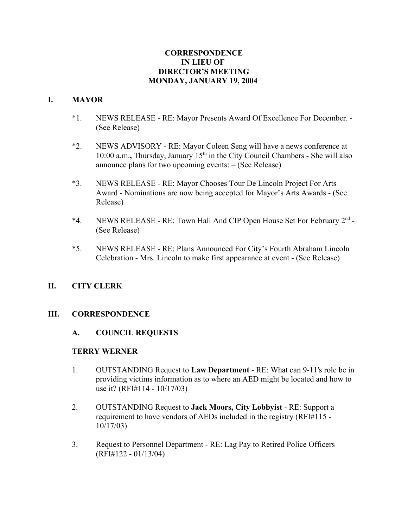### **CORRESPONDENCE IN LIEU OF DIRECTOR'S MEETING MONDAY, JANUARY 19, 2004**

### **I. MAYOR**

- \*1. NEWS RELEASE RE: Mayor Presents Award Of Excellence For December. (See Release)
- \*2. NEWS ADVISORY RE: Mayor Coleen Seng will have a news conference at 10:00 a.m., Thursday, January 15<sup>th</sup> in the City Council Chambers - She will also announce plans for two upcoming events: – (See Release)
- \*3. NEWS RELEASE RE: Mayor Chooses Tour De Lincoln Project For Arts Award - Nominations are now being accepted for Mayor's Arts Awards - (See Release)
- \*4. NEWS RELEASE RE: Town Hall And CIP Open House Set For February  $2<sup>nd</sup>$  -(See Release)
- \*5. NEWS RELEASE RE: Plans Announced For City's Fourth Abraham Lincoln Celebration - Mrs. Lincoln to make first appearance at event - (See Release)

# **II. CITY CLERK**

### **III. CORRESPONDENCE**

### **A. COUNCIL REQUESTS**

### **TERRY WERNER**

- 1. OUTSTANDING Request to **Law Department** RE: What can 9-11's role be in providing victims information as to where an AED might be located and how to use it? (RFI#114 - 10/17/03)
- 2. OUTSTANDING Request to **Jack Moors, City Lobbyist** RE: Support a requirement to have vendors of AEDs included in the registry (RFI#115 - 10/17/03)
- 3. Request to Personnel Department RE: Lag Pay to Retired Police Officers (RFI#122 - 01/13/04)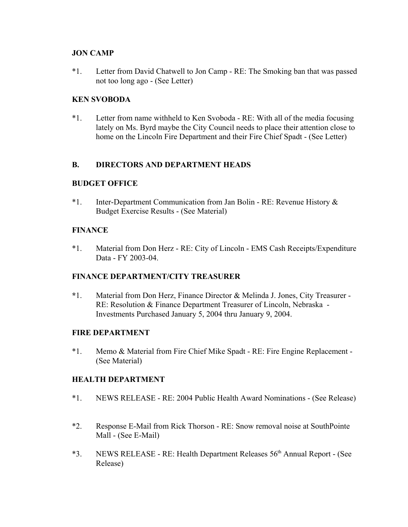### **JON CAMP**

\*1. Letter from David Chatwell to Jon Camp - RE: The Smoking ban that was passed not too long ago - (See Letter)

### **KEN SVOBODA**

\*1. Letter from name withheld to Ken Svoboda - RE: With all of the media focusing lately on Ms. Byrd maybe the City Council needs to place their attention close to home on the Lincoln Fire Department and their Fire Chief Spadt - (See Letter)

### **B. DIRECTORS AND DEPARTMENT HEADS**

#### **BUDGET OFFICE**

\*1. Inter-Department Communication from Jan Bolin - RE: Revenue History & Budget Exercise Results - (See Material)

#### **FINANCE**

\*1. Material from Don Herz - RE: City of Lincoln - EMS Cash Receipts/Expenditure Data - FY 2003-04.

### **FINANCE DEPARTMENT/CITY TREASURER**

**\***1. Material from Don Herz, Finance Director & Melinda J. Jones, City Treasurer - RE: Resolution & Finance Department Treasurer of Lincoln, Nebraska - Investments Purchased January 5, 2004 thru January 9, 2004.

#### **FIRE DEPARTMENT**

\*1. Memo & Material from Fire Chief Mike Spadt - RE: Fire Engine Replacement - (See Material)

#### **HEALTH DEPARTMENT**

- \*1. NEWS RELEASE RE: 2004 Public Health Award Nominations (See Release)
- \*2. Response E-Mail from Rick Thorson RE: Snow removal noise at SouthPointe Mall - (See E-Mail)
- \*3. NEWS RELEASE RE: Health Department Releases 56th Annual Report (See Release)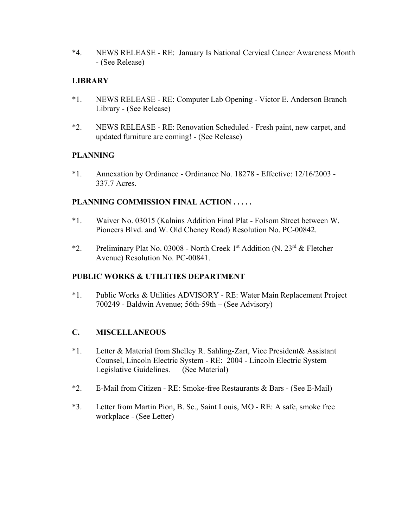\*4. NEWS RELEASE - RE: January Is National Cervical Cancer Awareness Month - (See Release)

## **LIBRARY**

- \*1. NEWS RELEASE RE: Computer Lab Opening Victor E. Anderson Branch Library - (See Release)
- \*2. NEWS RELEASE RE: Renovation Scheduled Fresh paint, new carpet, and updated furniture are coming! - (See Release)

# **PLANNING**

\*1. Annexation by Ordinance - Ordinance No. 18278 - Effective: 12/16/2003 - 337.7 Acres.

# **PLANNING COMMISSION FINAL ACTION . . . . .**

- \*1. Waiver No. 03015 (Kalnins Addition Final Plat Folsom Street between W. Pioneers Blvd. and W. Old Cheney Road) Resolution No. PC-00842.
- \*2. Preliminary Plat No. 03008 North Creek 1<sup>st</sup> Addition (N. 23<sup>rd</sup> & Fletcher Avenue) Resolution No. PC-00841.

# **PUBLIC WORKS & UTILITIES DEPARTMENT**

\*1. Public Works & Utilities ADVISORY - RE: Water Main Replacement Project 700249 - Baldwin Avenue; 56th-59th – (See Advisory)

### **C. MISCELLANEOUS**

- \*1. Letter & Material from Shelley R. Sahling-Zart, Vice President& Assistant Counsel, Lincoln Electric System - RE: 2004 - Lincoln Electric System Legislative Guidelines. — (See Material)
- \*2. E-Mail from Citizen RE: Smoke-free Restaurants & Bars (See E-Mail)
- \*3. Letter from Martin Pion, B. Sc., Saint Louis, MO RE: A safe, smoke free workplace - (See Letter)